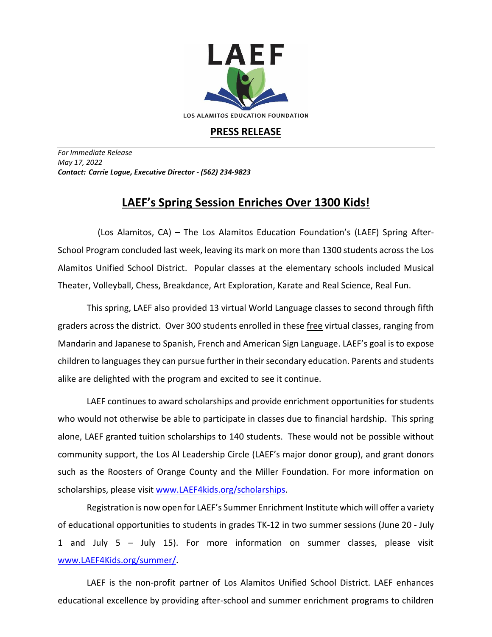

## **PRESS RELEASE**

*For Immediate Release May 17, 2022 Contact: Carrie Logue, Executive Director - (562) 234-9823*

## **LAEF's Spring Session Enriches Over 1300 Kids!**

 (Los Alamitos, CA) – The Los Alamitos Education Foundation's (LAEF) Spring After-School Program concluded last week, leaving its mark on more than 1300 students across the Los Alamitos Unified School District. Popular classes at the elementary schools included Musical Theater, Volleyball, Chess, Breakdance, Art Exploration, Karate and Real Science, Real Fun.

This spring, LAEF also provided 13 virtual World Language classes to second through fifth graders across the district. Over 300 students enrolled in these free virtual classes, ranging from Mandarin and Japanese to Spanish, French and American Sign Language. LAEF's goal is to expose children to languages they can pursue further in their secondary education. Parents and students alike are delighted with the program and excited to see it continue.

LAEF continues to award scholarships and provide enrichment opportunities for students who would not otherwise be able to participate in classes due to financial hardship. This spring alone, LAEF granted tuition scholarships to 140 students. These would not be possible without community support, the Los Al Leadership Circle (LAEF's major donor group), and grant donors such as the Roosters of Orange County and the Miller Foundation. For more information on scholarships, please visit [www.LAEF4kids.org/scholarships.](http://www.laef4kids.org/scholarships)

Registration is now open for LAEF's Summer Enrichment Institute which will offer a variety of educational opportunities to students in grades TK-12 in two summer sessions (June 20 - July 1 and July 5 – July 15). For more information on summer classes, please visit [www.LAEF4Kids.org/summer/](http://www.laef4kids.org/summer).

LAEF is the non-profit partner of Los Alamitos Unified School District. LAEF enhances educational excellence by providing after-school and summer enrichment programs to children